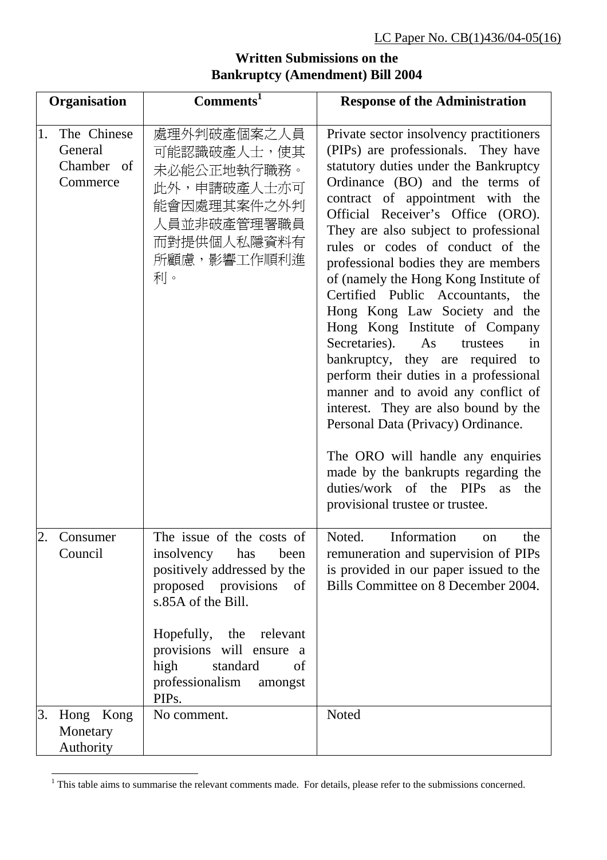## **Organisation Comments<sup>1</sup> Response of the Administration**  1. The Chinese General Chamber of **Commerce** 處理外判破產個案之人員 可能認識破產人士,使其 未必能公正地執行職務。 此外,申請破產人士亦可 能會因處理其案件之外判 人員並非破產管理署職員 而對提供個人私隱資料有 所顧慮,影響工作順利進 利。 Private sector insolvency practitioners (PIPs) are professionals. They have statutory duties under the Bankruptcy Ordinance (BO) and the terms of contract of appointment with the Official Receiver's Office (ORO). They are also subject to professional rules or codes of conduct of the professional bodies they are members of (namely the Hong Kong Institute of Certified Public Accountants, the Hong Kong Law Society and the Hong Kong Institute of Company Secretaries). As trustees in bankruptcy, they are required to perform their duties in a professional manner and to avoid any conflict of interest. They are also bound by the Personal Data (Privacy) Ordinance. The ORO will handle any enquiries made by the bankrupts regarding the duties/work of the PIPs as the provisional trustee or trustee. 2. Consumer Council The issue of the costs of insolvency has been positively addressed by the proposed provisions of s.85A of the Bill. Hopefully, the relevant provisions will ensure a high standard of professionalism amongst PIPs. Noted Information on the remuneration and supervision of PIPs is provided in our paper issued to the Bills Committee on 8 December 2004. 3. Hong Kong **Monetary** Authority No comment. Noted

## **Written Submissions on the Bankruptcy (Amendment) Bill 2004**

<sup>&</sup>lt;sup>1</sup> This table aims to summarise the relevant comments made. For details, please refer to the submissions concerned.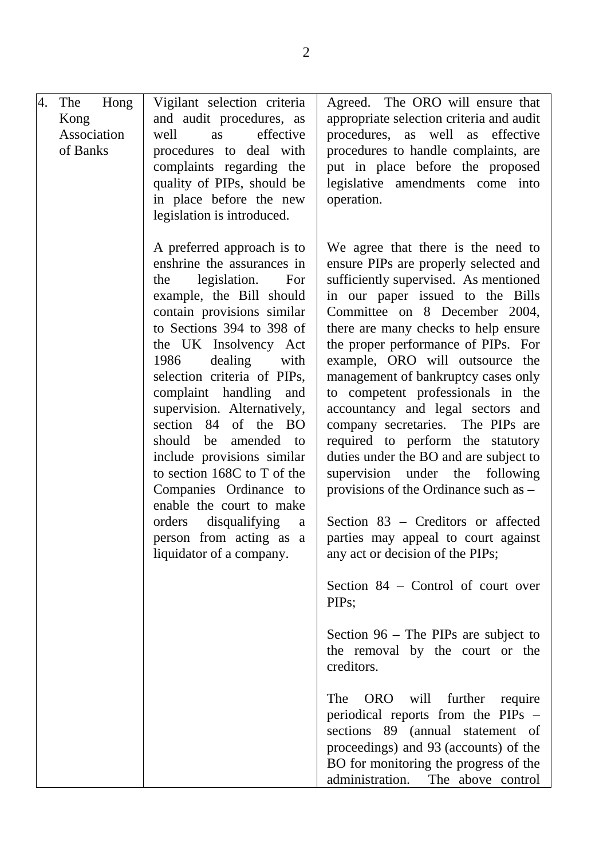| 4. | The<br>Kong<br>Association<br>of Banks | Hong | Vigilant selection criteria<br>and audit procedures, as<br>effective<br>well<br>as<br>procedures to deal with<br>complaints regarding the<br>quality of PIPs, should be<br>in place before the new<br>legislation is introduced.                                                                                                                                                                                                                                                                                                                                                    | Agreed. The ORO will ensure that<br>appropriate selection criteria and audit<br>procedures, as well as effective<br>procedures to handle complaints, are<br>put in place before the proposed<br>legislative amendments come into<br>operation.                                                                                                                                                                                                                                                                                                                                                                                                                                                                                                                                                                                                                                                                                                                                                                                                                                                                                                       |
|----|----------------------------------------|------|-------------------------------------------------------------------------------------------------------------------------------------------------------------------------------------------------------------------------------------------------------------------------------------------------------------------------------------------------------------------------------------------------------------------------------------------------------------------------------------------------------------------------------------------------------------------------------------|------------------------------------------------------------------------------------------------------------------------------------------------------------------------------------------------------------------------------------------------------------------------------------------------------------------------------------------------------------------------------------------------------------------------------------------------------------------------------------------------------------------------------------------------------------------------------------------------------------------------------------------------------------------------------------------------------------------------------------------------------------------------------------------------------------------------------------------------------------------------------------------------------------------------------------------------------------------------------------------------------------------------------------------------------------------------------------------------------------------------------------------------------|
|    |                                        |      | A preferred approach is to<br>enshrine the assurances in<br>legislation.<br>For<br>the<br>example, the Bill should<br>contain provisions similar<br>to Sections 394 to 398 of<br>the UK Insolvency Act<br>1986 dealing<br>with<br>selection criteria of PIPs,<br>complaint handling and<br>supervision. Alternatively,<br>section 84 of the BO<br>should be amended<br>to<br>include provisions similar<br>to section 168C to T of the<br>Companies Ordinance to<br>enable the court to make<br>orders<br>disqualifying<br>a<br>person from acting as a<br>liquidator of a company. | We agree that there is the need to<br>ensure PIPs are properly selected and<br>sufficiently supervised. As mentioned<br>in our paper issued to the Bills<br>Committee on 8 December 2004,<br>there are many checks to help ensure<br>the proper performance of PIPs. For<br>example, ORO will outsource the<br>management of bankruptcy cases only<br>to competent professionals in the<br>accountancy and legal sectors and<br>company secretaries. The PIPs are<br>required to perform the statutory<br>duties under the BO and are subject to<br>supervision under the following<br>provisions of the Ordinance such as -<br>Section 83 – Creditors or affected<br>parties may appeal to court against<br>any act or decision of the PIPs;<br>Section 84 – Control of court over<br>PIP <sub>s</sub> :<br>Section $96$ – The PIPs are subject to<br>the removal by the court or the<br>creditors.<br>further<br>The<br>ORO<br>will<br>require<br>periodical reports from the PIPs –<br>sections 89 (annual statement of<br>proceedings) and 93 (accounts) of the<br>BO for monitoring the progress of the<br>administration.<br>The above control |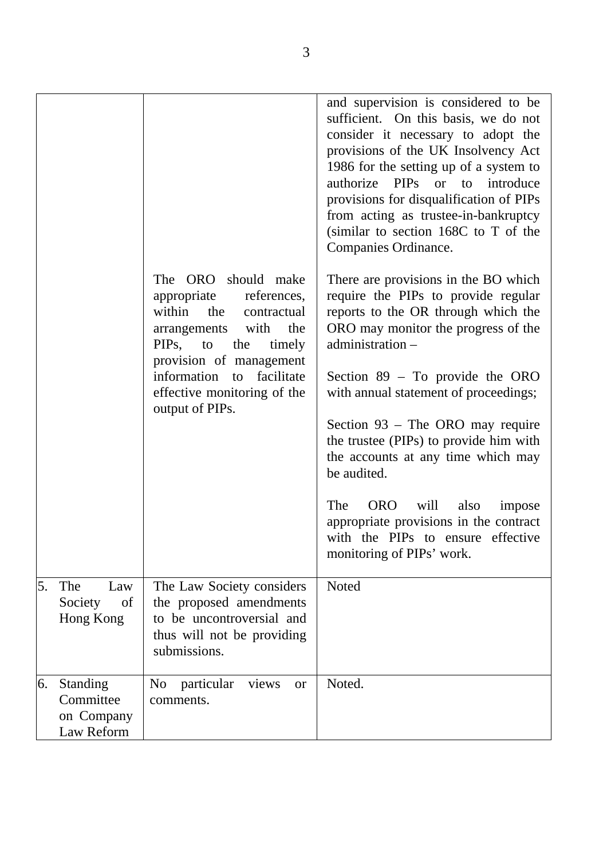|    |                                                   |                                                                                                                                                                                    | and supervision is considered to be<br>sufficient. On this basis, we do not<br>consider it necessary to adopt the<br>provisions of the UK Insolvency Act<br>1986 for the setting up of a system to<br>authorize PIPs or to introduce<br>provisions for disqualification of PIPs<br>from acting as trustee-in-bankruptcy<br>(similar to section 168C to T of the<br>Companies Ordinance. |
|----|---------------------------------------------------|------------------------------------------------------------------------------------------------------------------------------------------------------------------------------------|-----------------------------------------------------------------------------------------------------------------------------------------------------------------------------------------------------------------------------------------------------------------------------------------------------------------------------------------------------------------------------------------|
|    |                                                   | The ORO should make<br>references,<br>appropriate<br>within the<br>contractual<br>the<br>arrangements with<br>PIP <sub>s</sub> ,<br>the<br>to<br>timely<br>provision of management | There are provisions in the BO which<br>require the PIPs to provide regular<br>reports to the OR through which the<br>ORO may monitor the progress of the<br>administration -                                                                                                                                                                                                           |
|    |                                                   | information to facilitate<br>effective monitoring of the<br>output of PIPs.                                                                                                        | Section $89 - To$ provide the ORO<br>with annual statement of proceedings;                                                                                                                                                                                                                                                                                                              |
|    |                                                   |                                                                                                                                                                                    | Section $93$ – The ORO may require<br>the trustee (PIPs) to provide him with<br>the accounts at any time which may<br>be audited.                                                                                                                                                                                                                                                       |
|    |                                                   |                                                                                                                                                                                    | The<br>ORO will<br>also<br>impose<br>appropriate provisions in the contract<br>with the PIPs to ensure effective<br>monitoring of PIPs' work.                                                                                                                                                                                                                                           |
| 5. | The<br>Law<br>Society<br>of<br>Hong Kong          | The Law Society considers<br>the proposed amendments<br>to be uncontroversial and<br>thus will not be providing<br>submissions.                                                    | <b>Noted</b>                                                                                                                                                                                                                                                                                                                                                                            |
| 6. | Standing<br>Committee<br>on Company<br>Law Reform | N <sub>o</sub><br>particular<br>views<br><b>or</b><br>comments.                                                                                                                    | Noted.                                                                                                                                                                                                                                                                                                                                                                                  |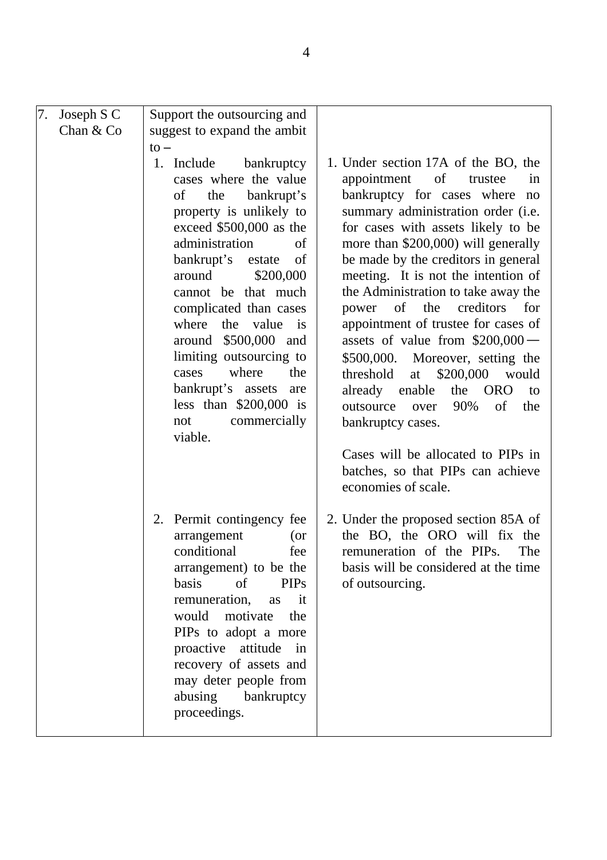| 7.<br>Joseph S C | Support the outsourcing and                                                                                                                                                                                                                                                                                                                                                                                                                                                                                                                                                                |                                                                                                                                                                                                                                                                                                                                                                                                                                                                                                                                                                                                                                                                                                                                             |
|------------------|--------------------------------------------------------------------------------------------------------------------------------------------------------------------------------------------------------------------------------------------------------------------------------------------------------------------------------------------------------------------------------------------------------------------------------------------------------------------------------------------------------------------------------------------------------------------------------------------|---------------------------------------------------------------------------------------------------------------------------------------------------------------------------------------------------------------------------------------------------------------------------------------------------------------------------------------------------------------------------------------------------------------------------------------------------------------------------------------------------------------------------------------------------------------------------------------------------------------------------------------------------------------------------------------------------------------------------------------------|
| Chan $& Co$      | suggest to expand the ambit                                                                                                                                                                                                                                                                                                                                                                                                                                                                                                                                                                |                                                                                                                                                                                                                                                                                                                                                                                                                                                                                                                                                                                                                                                                                                                                             |
|                  | $\mathsf{to}-$<br>1. Include<br>bankruptcy<br>cases where the value<br>bankrupt's<br>of<br>the<br>property is unlikely to<br>exceed \$500,000 as the<br>administration<br>of<br>$% \left( \left( \mathcal{A},\mathcal{A}\right) \right) =\left( \mathcal{A},\mathcal{A}\right)$ of<br>bankrupt's<br>estate<br>around<br>\$200,000<br>cannot be that much<br>complicated than cases<br>where the value<br>$\mathbf{a}$<br>around \$500,000 and<br>limiting outsourcing to<br>where<br>the<br>cases<br>bankrupt's assets<br>are<br>less than $$200,000$ is<br>commercially<br>not<br>viable. | 1. Under section 17A of the BO, the<br>appointment<br>of<br>trustee<br>in<br>bankruptcy for cases where no<br>summary administration order (i.e.<br>for cases with assets likely to be<br>more than \$200,000) will generally<br>be made by the creditors in general<br>meeting. It is not the intention of<br>the Administration to take away the<br>creditors<br>for<br>of<br>the<br>power<br>appointment of trustee for cases of<br>assets of value from $$200,000$ —<br>\$500,000. Moreover, setting the<br>\$200,000<br>would<br>threshold<br>at<br><b>ORO</b><br>already enable<br>the<br>to<br>90%<br>of<br>outsource<br>the<br>over<br>bankruptcy cases.<br>Cases will be allocated to PIPs in<br>batches, so that PIPs can achieve |
|                  | 2. Permit contingency fee<br>arrangement<br>(or<br>conditional<br>fee<br>arrangement) to be the<br>basis<br>of<br><b>PIPs</b><br>remuneration,<br>as<br>$-$ it<br>would<br>motivate<br>the<br>PIPs to adopt a more<br>proactive attitude<br>in<br>recovery of assets and<br>may deter people from<br>abusing<br>bankruptcy<br>proceedings.                                                                                                                                                                                                                                                 | economies of scale.<br>2. Under the proposed section 85A of<br>the BO, the ORO will fix the<br>remuneration of the PIPs.<br>The<br>basis will be considered at the time<br>of outsourcing.                                                                                                                                                                                                                                                                                                                                                                                                                                                                                                                                                  |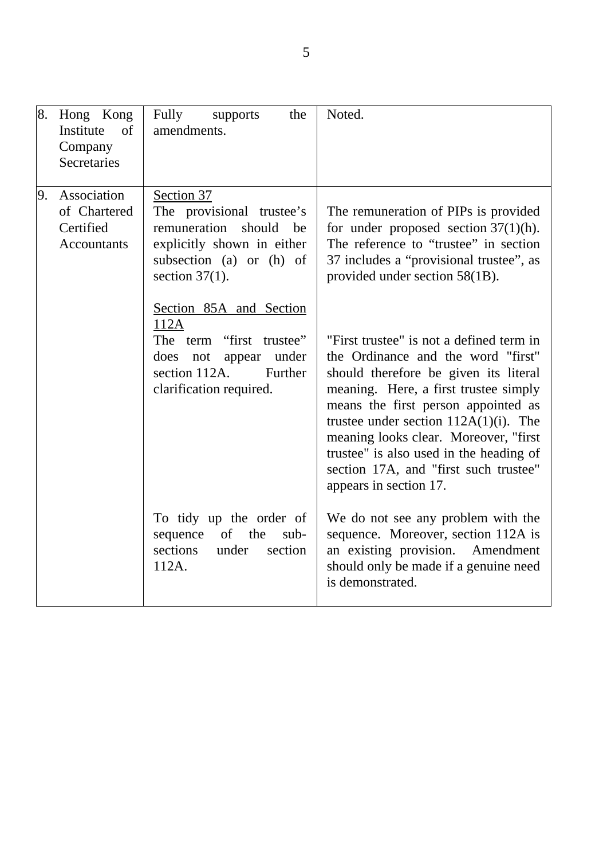| 8. | Hong Kong<br>Institute<br>of<br>Company<br>Secretaries         | Fully<br>supports<br>the<br>amendments.                                                                                                                 | Noted.                                                                                                                                                                                                                                                                                                                                                                                                     |
|----|----------------------------------------------------------------|---------------------------------------------------------------------------------------------------------------------------------------------------------|------------------------------------------------------------------------------------------------------------------------------------------------------------------------------------------------------------------------------------------------------------------------------------------------------------------------------------------------------------------------------------------------------------|
| 9. | Association<br>of Chartered<br>Certified<br><b>Accountants</b> | Section 37<br>The provisional trustee's<br>remuneration<br>should<br>be<br>explicitly shown in either<br>subsection (a) or (h) of<br>section $37(1)$ .  | The remuneration of PIPs is provided<br>for under proposed section $37(1)(h)$ .<br>The reference to "trustee" in section<br>37 includes a "provisional trustee", as<br>provided under section 58(1B).                                                                                                                                                                                                      |
|    |                                                                | Section 85A and Section<br>112A<br>"first trustee"<br>The term<br>under<br>does<br>not<br>appear<br>Further<br>section 112A.<br>clarification required. | "First trustee" is not a defined term in<br>the Ordinance and the word "first"<br>should therefore be given its literal<br>meaning. Here, a first trustee simply<br>means the first person appointed as<br>trustee under section $112A(1)(i)$ . The<br>meaning looks clear. Moreover, "first<br>trustee" is also used in the heading of<br>section 17A, and "first such trustee"<br>appears in section 17. |
|    |                                                                | To tidy up the order of<br>of<br>sequence<br>the<br>sub-<br>sections<br>under<br>section<br>112A.                                                       | We do not see any problem with the<br>sequence. Moreover, section 112A is<br>an existing provision. Amendment<br>should only be made if a genuine need<br>is demonstrated.                                                                                                                                                                                                                                 |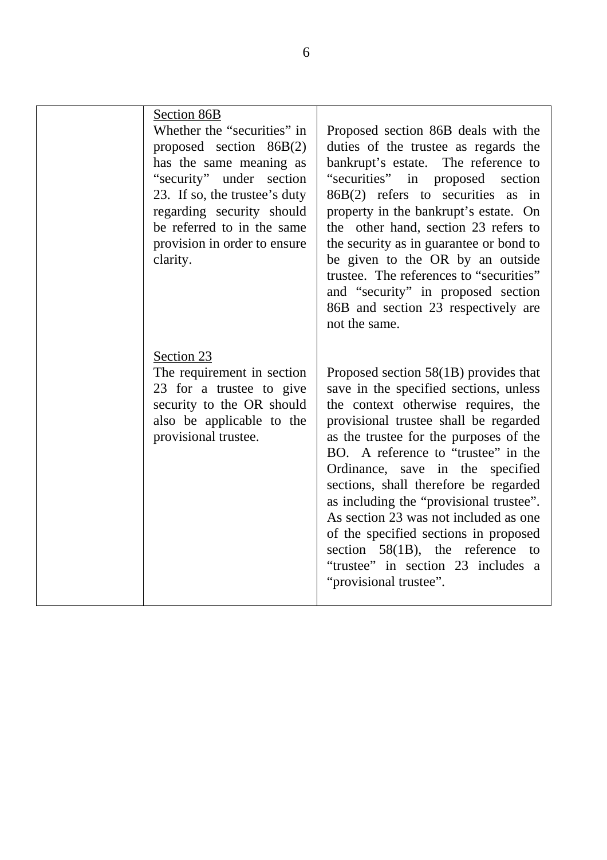| Section 86B<br>Whether the "securities" in<br>proposed section 86B(2)<br>has the same meaning as<br>"security" under section<br>23. If so, the trustee's duty<br>regarding security should<br>be referred to in the same<br>provision in order to ensure<br>clarity. | Proposed section 86B deals with the<br>duties of the trustee as regards the<br>bankrupt's estate. The reference to<br>"securities" in proposed section<br>$86B(2)$ refers to securities as in<br>property in the bankrupt's estate. On<br>the other hand, section 23 refers to<br>the security as in guarantee or bond to<br>be given to the OR by an outside<br>trustee. The references to "securities"<br>and "security" in proposed section<br>86B and section 23 respectively are<br>not the same.                                                              |
|----------------------------------------------------------------------------------------------------------------------------------------------------------------------------------------------------------------------------------------------------------------------|---------------------------------------------------------------------------------------------------------------------------------------------------------------------------------------------------------------------------------------------------------------------------------------------------------------------------------------------------------------------------------------------------------------------------------------------------------------------------------------------------------------------------------------------------------------------|
| Section 23<br>The requirement in section<br>23 for a trustee to give<br>security to the OR should<br>also be applicable to the<br>provisional trustee.                                                                                                               | Proposed section $58(1B)$ provides that<br>save in the specified sections, unless<br>the context otherwise requires, the<br>provisional trustee shall be regarded<br>as the trustee for the purposes of the<br>BO. A reference to "trustee" in the<br>Ordinance, save in the specified<br>sections, shall therefore be regarded<br>as including the "provisional trustee".<br>As section 23 was not included as one<br>of the specified sections in proposed<br>section $58(1B)$ , the reference to<br>"trustee" in section 23 includes a<br>"provisional trustee". |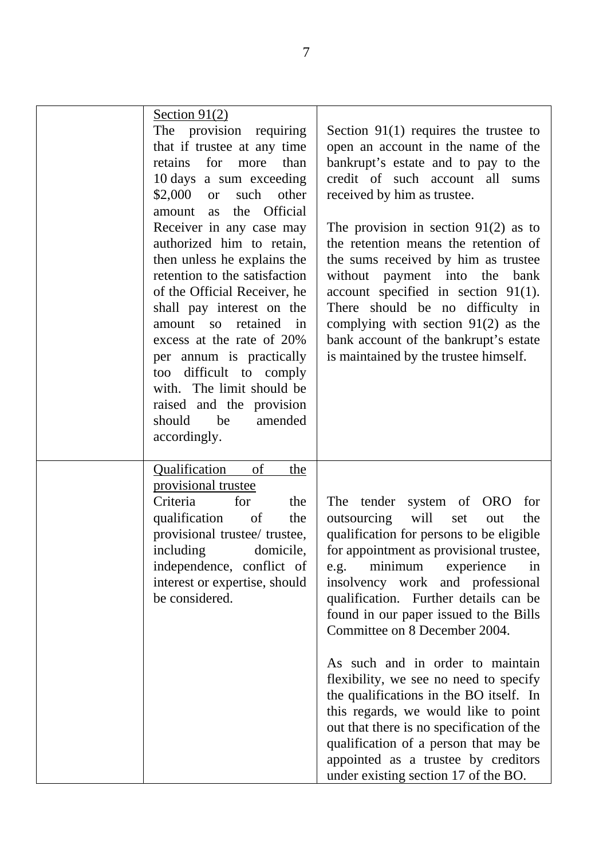| Section $91(2)$<br>The provision requiring<br>that if trustee at any time<br>for<br>retains<br>more<br>than<br>10 days a sum exceeding<br>$$2,000$ or<br>such<br>other<br>the Official<br>amount as<br>Receiver in any case may<br>authorized him to retain,<br>then unless he explains the<br>retention to the satisfaction<br>of the Official Receiver, he<br>shall pay interest on the<br>amount so<br>retained<br>in<br>excess at the rate of 20%<br>per annum is practically<br>difficult to comply<br>too<br>with. The limit should be<br>raised and the provision<br>should<br>be<br>amended | Section $91(1)$ requires the trustee to<br>open an account in the name of the<br>bankrupt's estate and to pay to the<br>credit of such account all sums<br>received by him as trustee.<br>The provision in section $91(2)$ as to<br>the retention means the retention of<br>the sums received by him as trustee<br>without<br>payment into the<br>bank<br>account specified in section $91(1)$ .<br>There should be no difficulty in<br>complying with section $91(2)$ as the<br>bank account of the bankrupt's estate<br>is maintained by the trustee himself.                                                                                                                                            |
|-----------------------------------------------------------------------------------------------------------------------------------------------------------------------------------------------------------------------------------------------------------------------------------------------------------------------------------------------------------------------------------------------------------------------------------------------------------------------------------------------------------------------------------------------------------------------------------------------------|------------------------------------------------------------------------------------------------------------------------------------------------------------------------------------------------------------------------------------------------------------------------------------------------------------------------------------------------------------------------------------------------------------------------------------------------------------------------------------------------------------------------------------------------------------------------------------------------------------------------------------------------------------------------------------------------------------|
| accordingly.<br><b>Qualification</b><br>of<br>the<br>provisional trustee<br>for<br>Criteria<br>the<br>qualification<br>of<br>the<br>provisional trustee/ trustee,<br>including<br>domicile,<br>independence, conflict of<br>interest or expertise, should<br>be considered.                                                                                                                                                                                                                                                                                                                         | system of ORO<br>The tender<br>for<br>will<br>outsourcing<br>the<br>set<br>out<br>qualification for persons to be eligible<br>for appointment as provisional trustee,<br>minimum<br>experience<br>e.g.<br>in<br>insolvency work and professional<br>qualification. Further details can be<br>found in our paper issued to the Bills<br>Committee on 8 December 2004.<br>As such and in order to maintain<br>flexibility, we see no need to specify<br>the qualifications in the BO itself. In<br>this regards, we would like to point<br>out that there is no specification of the<br>qualification of a person that may be<br>appointed as a trustee by creditors<br>under existing section 17 of the BO. |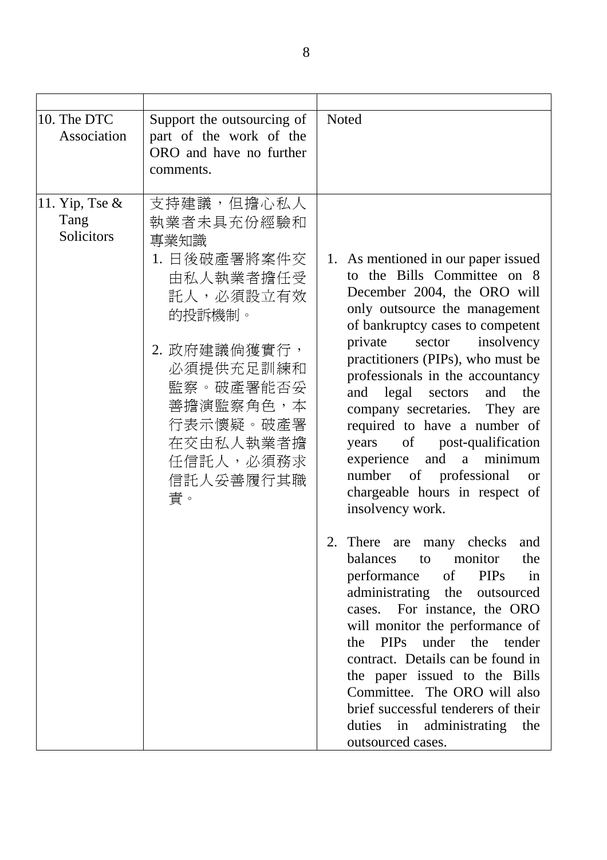| 10. The DTC<br>Association              | Support the outsourcing of<br>part of the work of the<br>ORO and have no further<br>comments.                                                                                                         | Noted                                                                                                                                                                                                                                                                                                                                                                                                                                                                                                                                                                              |
|-----------------------------------------|-------------------------------------------------------------------------------------------------------------------------------------------------------------------------------------------------------|------------------------------------------------------------------------------------------------------------------------------------------------------------------------------------------------------------------------------------------------------------------------------------------------------------------------------------------------------------------------------------------------------------------------------------------------------------------------------------------------------------------------------------------------------------------------------------|
| 11. Yip, Tse $\&$<br>Tang<br>Solicitors | 支持建議,但擔心私人<br>執業者未具充份經驗和<br>專業知識<br>1. 日後破產署將案件交<br>由私人執業者擔任受<br>託人,必須設立有效<br>的投訴機制。<br>2. 政府建議倘獲實行,<br>必須提供充足訓練和<br>監察。破產署能否妥<br>善擔演監察角色,本<br>行表示懷疑。破產署<br>在交由私人執業者擔<br>任信託人,必須務求<br>信託人妥善履行其職<br>責。 | 1. As mentioned in our paper issued<br>to the Bills Committee on 8<br>December 2004, the ORO will<br>only outsource the management<br>of bankruptcy cases to competent<br>insolvency<br>private<br>sector<br>practitioners (PIPs), who must be<br>professionals in the accountancy<br>and legal sectors and<br>the<br>company secretaries. They are<br>required to have a number of<br>years of post-qualification<br>experience and a minimum<br>number of professional<br><sub>or</sub><br>chargeable hours in respect of<br>insolvency work.<br>2. There are many checks<br>and |
|                                         |                                                                                                                                                                                                       | the<br>balances to monitor<br><b>PIPs</b><br>performance<br>of<br>in<br>administrating the outsourced<br>cases. For instance, the ORO<br>will monitor the performance of<br>the PIPs under the tender<br>contract. Details can be found in<br>the paper issued to the Bills<br>Committee. The ORO will also<br>brief successful tenderers of their<br>duties in administrating<br>the<br>outsourced cases.                                                                                                                                                                         |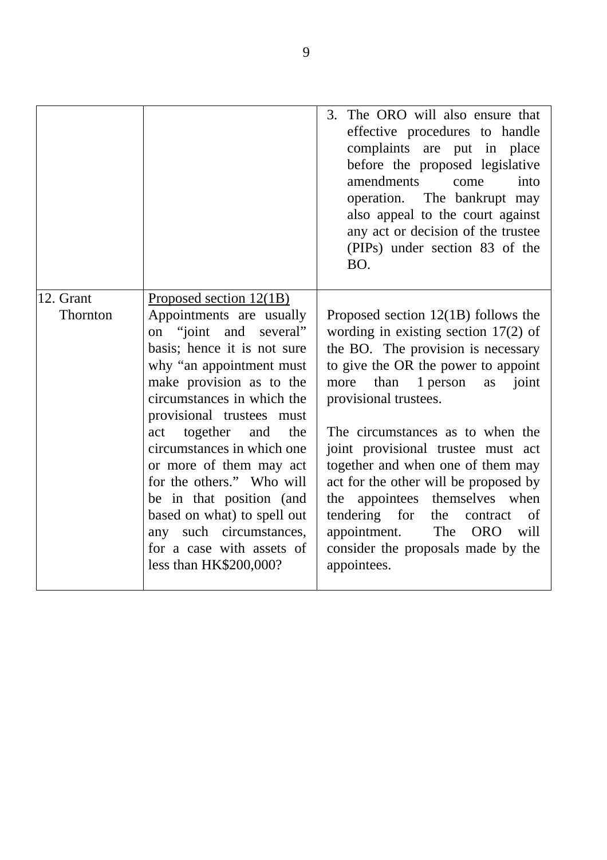|                       |                                                                                                                                                                                                                                                                                                                                                                                                                                        | 3. The ORO will also ensure that<br>effective procedures to handle<br>complaints are put in place<br>before the proposed legislative<br>amendments<br>into<br>come<br>operation. The bankrupt may<br>also appeal to the court against<br>any act or decision of the trustee<br>(PIPs) under section 83 of the<br>BO.                                                                                                                                                                                        |
|-----------------------|----------------------------------------------------------------------------------------------------------------------------------------------------------------------------------------------------------------------------------------------------------------------------------------------------------------------------------------------------------------------------------------------------------------------------------------|-------------------------------------------------------------------------------------------------------------------------------------------------------------------------------------------------------------------------------------------------------------------------------------------------------------------------------------------------------------------------------------------------------------------------------------------------------------------------------------------------------------|
| 12. Grant<br>Thornton | Proposed section 12(1B)<br>Appointments are usually<br>on "joint and several"<br>basis; hence it is not sure<br>why "an appointment must<br>make provision as to the<br>circumstances in which the<br>provisional trustees must<br>act together and<br>the<br>circumstances in which one<br>or more of them may act<br>for the others." Who will<br>be in that position (and<br>based on what) to spell out<br>any such circumstances, | Proposed section $12(1B)$ follows the<br>wording in existing section $17(2)$ of<br>the BO. The provision is necessary<br>to give the OR the power to appoint<br>more than 1 person<br>joint<br>as<br>provisional trustees.<br>The circumstances as to when the<br>joint provisional trustee must act<br>together and when one of them may<br>act for the other will be proposed by<br>the appointees themselves when<br>tendering for<br>the<br>contract<br>of<br>The<br>appointment.<br><b>ORO</b><br>will |
|                       | for a case with assets of<br>less than HK\$200,000?                                                                                                                                                                                                                                                                                                                                                                                    | consider the proposals made by the<br>appointees.                                                                                                                                                                                                                                                                                                                                                                                                                                                           |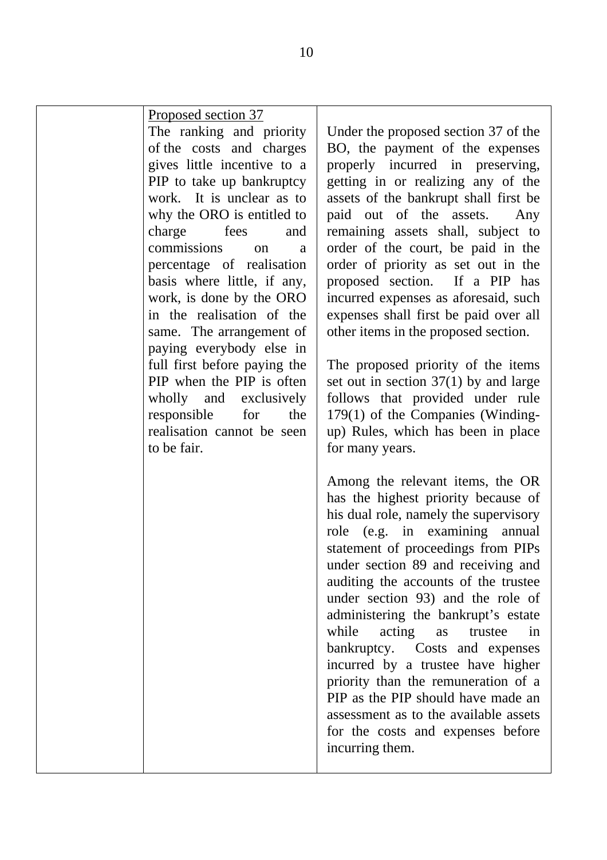| <u>Proposed section 37</u><br>The ranking and priority<br>of the costs and charges<br>gives little incentive to a<br>PIP to take up bankruptcy<br>work. It is unclear as to<br>why the ORO is entitled to<br>charge fees<br>and<br>commissions on<br>a<br>percentage of realisation<br>basis where little, if any,<br>work, is done by the ORO<br>in the realisation of the<br>same. The arrangement of<br>paying everybody else in<br>full first before paying the<br>PIP when the PIP is often<br>wholly and exclusively<br>responsible<br>the<br>for<br>realisation cannot be seen<br>to be fair. | Under the propose<br>BO, the payment<br>properly incurre<br>getting in or rea<br>assets of the banl<br>paid out of th<br>remaining assets<br>order of the cou<br>order of priority<br>proposed section<br>incurred expenses<br>expenses shall fir<br>other items in the<br>The proposed pri<br>set out in section<br>follows that pro<br>$179(1)$ of the Cor<br>up) Rules, which<br>for many years. |
|------------------------------------------------------------------------------------------------------------------------------------------------------------------------------------------------------------------------------------------------------------------------------------------------------------------------------------------------------------------------------------------------------------------------------------------------------------------------------------------------------------------------------------------------------------------------------------------------------|-----------------------------------------------------------------------------------------------------------------------------------------------------------------------------------------------------------------------------------------------------------------------------------------------------------------------------------------------------------------------------------------------------|
|                                                                                                                                                                                                                                                                                                                                                                                                                                                                                                                                                                                                      | Among the releva<br>has the highest p<br>his dual role, nam<br>role (e.g. in $\epsilon$<br>statement of proc<br>under section 89<br>auditing the acco<br>under section 93<br>administering the<br>while<br>acting<br>bankruptcy. Co<br>incurred by a tr<br>priority than the<br>PIP as the PIP sho<br>assessment as to t<br>for the costs and<br>incurring them.                                    |

ed section 37 of the t of the expenses d in preserving, dizing any of the krupt shall first be e assets. Any shall, subject to rt, be paid in the as set out in the  $\int$ . If a PIP has as aforesaid, such st be paid over all proposed section.

iority of the items  $37(1)$  by and large vided under rule mpanies (Windinghas been in place

ant items, the OR priority because of ely the supervisory examining annual eedings from PIPs and receiving and unts of the trustee ) and the role of bankrupt's estate as trustee in bankruptcy. Costs and expenses ustee have higher remuneration of a ould have made an the available assets d expenses before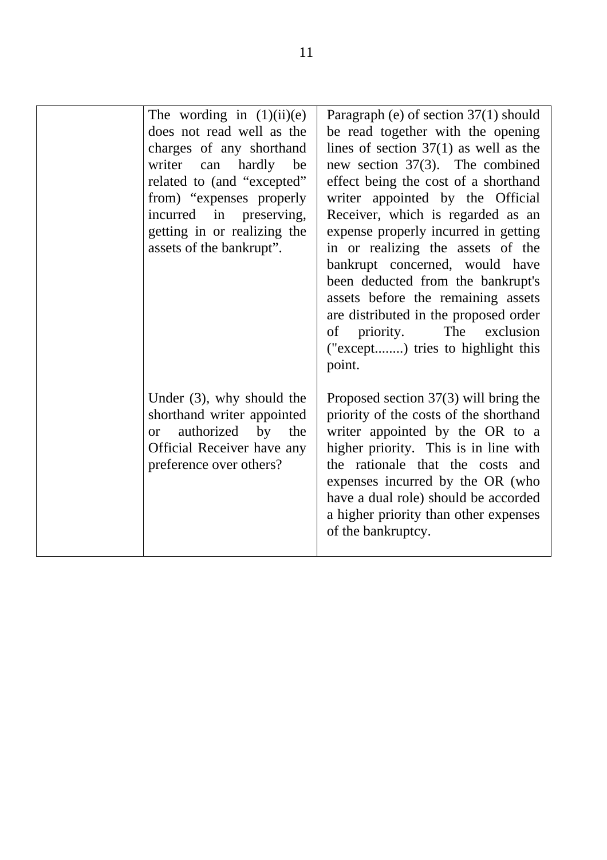| The wording in $(1)(ii)(e)$<br>does not read well as the<br>charges of any shorthand<br>writer can hardly be<br>related to (and "excepted"<br>from) "expenses properly<br>incurred in preserving,<br>getting in or realizing the<br>assets of the bankrupt". | Paragraph (e) of section 37(1) should<br>be read together with the opening<br>lines of section $37(1)$ as well as the<br>new section $37(3)$ . The combined<br>effect being the cost of a shorthand<br>writer appointed by the Official<br>Receiver, which is regarded as an<br>expense properly incurred in getting<br>in or realizing the assets of the<br>bankrupt concerned, would have<br>been deducted from the bankrupt's<br>assets before the remaining assets<br>are distributed in the proposed order<br>The exclusion<br>of priority.<br>("except) tries to highlight this<br>point. |
|--------------------------------------------------------------------------------------------------------------------------------------------------------------------------------------------------------------------------------------------------------------|-------------------------------------------------------------------------------------------------------------------------------------------------------------------------------------------------------------------------------------------------------------------------------------------------------------------------------------------------------------------------------------------------------------------------------------------------------------------------------------------------------------------------------------------------------------------------------------------------|
| Under $(3)$ , why should the<br>shorthand writer appointed<br>authorized by<br>the<br><sub>or</sub><br>Official Receiver have any<br>preference over others?                                                                                                 | Proposed section $37(3)$ will bring the<br>priority of the costs of the shorthand<br>writer appointed by the OR to a<br>higher priority. This is in line with<br>the rationale that the costs and<br>expenses incurred by the OR (who<br>have a dual role) should be accorded<br>a higher priority than other expenses<br>of the bankruptcy.                                                                                                                                                                                                                                                    |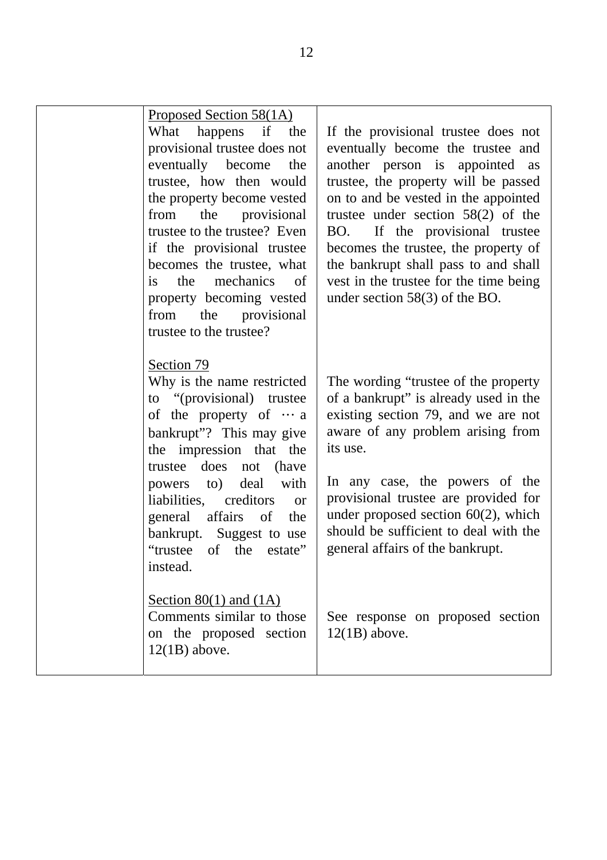| Proposed Section 58(1A)<br>What happens if<br>the<br>provisional trustee does not<br>eventually become<br>the<br>trustee, how then would<br>the property become vested<br>the provisional<br>from<br>trustee to the trustee? Even<br>if the provisional trustee<br>becomes the trustee, what<br>mechanics<br>the<br>of<br><i>is</i><br>property becoming vested<br>from<br>the provisional<br>trustee to the trustee? | If the provisional trustee does not<br>eventually become the trustee and<br>another person is appointed as<br>trustee, the property will be passed<br>on to and be vested in the appointed<br>trustee under section $58(2)$ of the<br>BO. If the provisional trustee<br>becomes the trustee, the property of<br>the bankrupt shall pass to and shall<br>vest in the trustee for the time being<br>under section $58(3)$ of the BO. |
|-----------------------------------------------------------------------------------------------------------------------------------------------------------------------------------------------------------------------------------------------------------------------------------------------------------------------------------------------------------------------------------------------------------------------|------------------------------------------------------------------------------------------------------------------------------------------------------------------------------------------------------------------------------------------------------------------------------------------------------------------------------------------------------------------------------------------------------------------------------------|
| Section 79<br>Why is the name restricted<br>to "(provisional) trustee<br>of the property of $\cdots$ a<br>bankrupt"? This may give<br>the impression that the<br>does<br>trustee<br>not<br>(have<br>deal<br>with<br>to)<br>powers<br>liabilities,<br>creditors<br><b>or</b><br>general<br>affairs<br>of<br>the<br>bankrupt. Suggest to use<br>"trustee<br>of the estate"<br>instead.                                  | The wording "trustee of the property"<br>of a bankrupt" is already used in the<br>existing section 79, and we are not<br>aware of any problem arising from<br>its use.<br>In any case, the powers of the<br>provisional trustee are provided for<br>under proposed section $60(2)$ , which<br>should be sufficient to deal with the<br>general affairs of the bankrupt.                                                            |
| Section 80(1) and $(1A)$<br>Comments similar to those<br>on the proposed section<br>$12(1B)$ above.                                                                                                                                                                                                                                                                                                                   | See response on proposed section<br>$12(1B)$ above.                                                                                                                                                                                                                                                                                                                                                                                |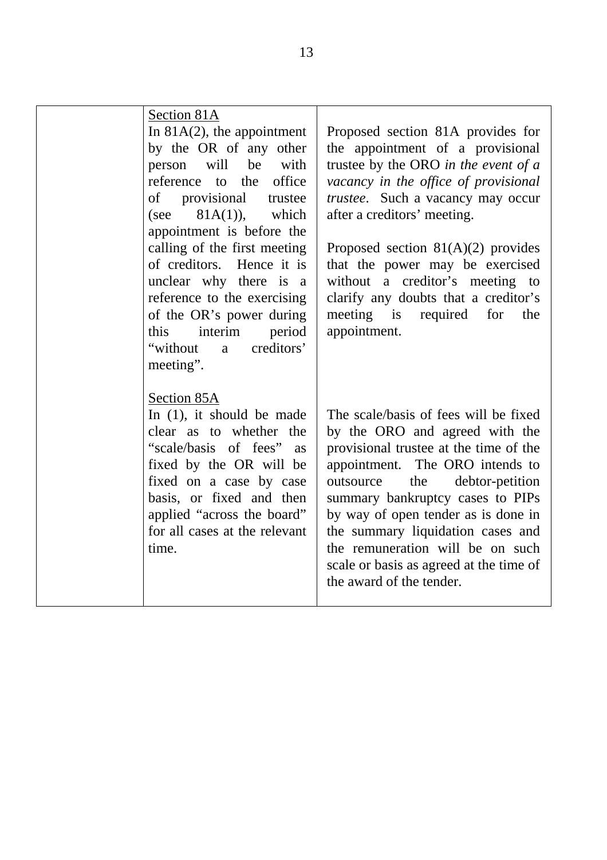| Section 81A<br>In $81A(2)$ , the appointment<br>by the OR of any other<br>person will be with<br>reference to the office<br>of provisional<br>trustee<br>$81A(1)$ , which<br>(see<br>appointment is before the<br>calling of the first meeting<br>of creditors. Hence it is<br>unclear why there is a<br>reference to the exercising<br>of the OR's power during<br>interim<br>period<br>this<br>creditors'<br>"without"<br>a<br>meeting". | Proposed section 81A provides for<br>the appointment of a provisional<br>trustee by the ORO in the event of a<br>vacancy in the office of provisional<br>trustee. Such a vacancy may occur<br>after a creditors' meeting.<br>Proposed section $81(A)(2)$ provides<br>that the power may be exercised<br>without a creditor's meeting to<br>clarify any doubts that a creditor's<br>meeting is required<br>for<br>the<br>appointment. |
|--------------------------------------------------------------------------------------------------------------------------------------------------------------------------------------------------------------------------------------------------------------------------------------------------------------------------------------------------------------------------------------------------------------------------------------------|--------------------------------------------------------------------------------------------------------------------------------------------------------------------------------------------------------------------------------------------------------------------------------------------------------------------------------------------------------------------------------------------------------------------------------------|
| Section 85A<br>In $(1)$ , it should be made<br>clear as to whether the<br>"scale/basis of fees" as<br>fixed by the OR will be<br>fixed on a case by case<br>basis, or fixed and then<br>applied "across the board"<br>for all cases at the relevant<br>time.                                                                                                                                                                               | The scale/basis of fees will be fixed<br>by the ORO and agreed with the<br>provisional trustee at the time of the<br>appointment. The ORO intends to<br>debtor-petition<br>the<br>outsource<br>summary bankruptcy cases to PIPs<br>by way of open tender as is done in<br>the summary liquidation cases and<br>the remuneration will be on such<br>scale or basis as agreed at the time of<br>the award of the tender.               |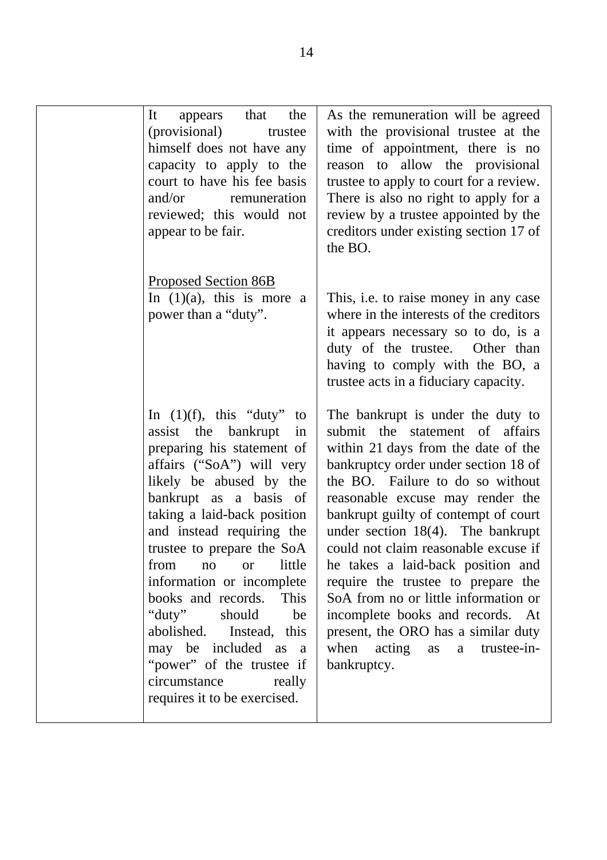| It<br>appears<br>(provisional)<br>himself does not have any<br>capacity to apply to the<br>court to have his fee basis<br>and/or<br>reviewed; this would not<br>appear to be fair.                                                                                                                                                                                                                                                                                             | that<br>the<br>trustee<br>remuneration                    | As the remuneration will be agreed<br>with the provisional trustee at the<br>time of appointment, there is no<br>reason to allow the provisional<br>trustee to apply to court for a review.<br>There is also no right to apply for a<br>review by a trustee appointed by the<br>creditors under existing section 17 of<br>the BO.                                                                                                                                                                                                                                                                   |
|--------------------------------------------------------------------------------------------------------------------------------------------------------------------------------------------------------------------------------------------------------------------------------------------------------------------------------------------------------------------------------------------------------------------------------------------------------------------------------|-----------------------------------------------------------|-----------------------------------------------------------------------------------------------------------------------------------------------------------------------------------------------------------------------------------------------------------------------------------------------------------------------------------------------------------------------------------------------------------------------------------------------------------------------------------------------------------------------------------------------------------------------------------------------------|
| Proposed Section 86B<br>In $(1)(a)$ , this is more a<br>power than a "duty".                                                                                                                                                                                                                                                                                                                                                                                                   |                                                           | This, i.e. to raise money in any case<br>where in the interests of the creditors<br>it appears necessary so to do, is a<br>duty of the trustee. Other than<br>having to comply with the BO, a<br>trustee acts in a fiduciary capacity.                                                                                                                                                                                                                                                                                                                                                              |
| In $(1)(f)$ , this "duty"<br>assist the bankrupt<br>preparing his statement of<br>affairs ("SoA") will very<br>likely be abused by the<br>bankrupt as a basis of<br>taking a laid-back position<br>and instead requiring the<br>trustee to prepare the SoA<br>from<br>no<br>information or incomplete<br>books and records. This<br>" $duty"$<br>abolished. Instead, this<br>may be included as a<br>"power" of the trustee if<br>circumstance<br>requires it to be exercised. | to<br>in<br>little<br><b>or</b><br>should<br>be<br>really | The bankrupt is under the duty to<br>submit the statement of affairs<br>within 21 days from the date of the<br>bankruptcy order under section 18 of<br>the BO. Failure to do so without<br>reasonable excuse may render the<br>bankrupt guilty of contempt of court<br>under section $18(4)$ . The bankrupt<br>could not claim reasonable excuse if<br>he takes a laid-back position and<br>require the trustee to prepare the<br>SoA from no or little information or<br>incomplete books and records. At<br>present, the ORO has a similar duty<br>when acting as<br>a trustee-in-<br>bankruptcy. |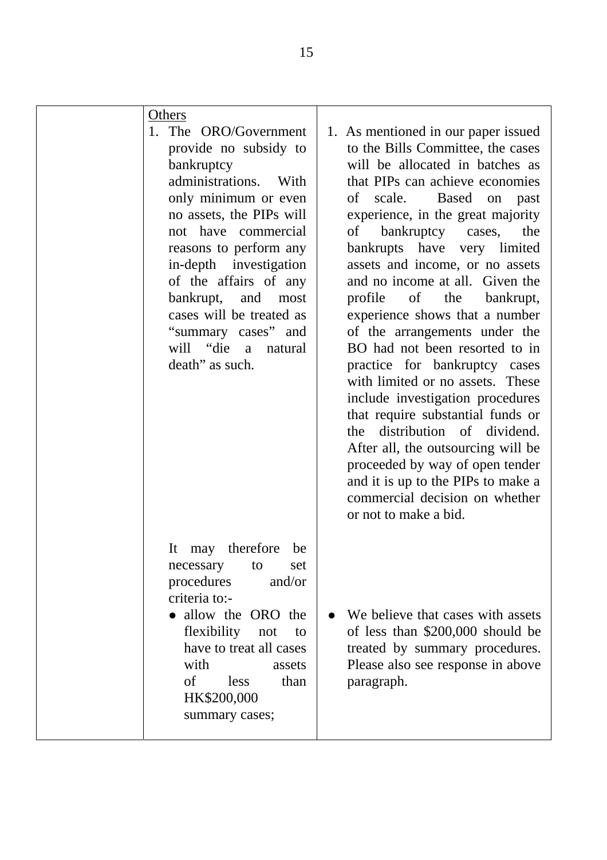| <u>Others</u><br>1. The ORO/Government<br>provide no subsidy to<br>bankruptcy<br>administrations. With<br>only minimum or even<br>no assets, the PIPs will<br>not have commercial<br>reasons to perform any<br>in-depth investigation<br>of the affairs of any<br>bankrupt, and<br>most<br>cases will be treated as<br>"summary cases" and<br>will "die a natural<br>death" as such. | 1. As mentioned in our paper issued<br>to the Bills Committee, the cases<br>will be allocated in batches as<br>that PIPs can achieve economies<br>Based<br>of scale.<br>on<br>past<br>experience, in the great majority<br>of bankruptcy cases,<br>the<br>bankrupts have very limited<br>assets and income, or no assets<br>and no income at all. Given the<br>profile of the<br>bankrupt,<br>experience shows that a number<br>of the arrangements under the<br>BO had not been resorted to in<br>practice for bankruptcy cases<br>with limited or no assets. These<br>include investigation procedures<br>that require substantial funds or<br>distribution of dividend.<br>the<br>After all, the outsourcing will be<br>proceeded by way of open tender<br>and it is up to the PIPs to make a<br>commercial decision on whether<br>or not to make a bid. |
|--------------------------------------------------------------------------------------------------------------------------------------------------------------------------------------------------------------------------------------------------------------------------------------------------------------------------------------------------------------------------------------|-------------------------------------------------------------------------------------------------------------------------------------------------------------------------------------------------------------------------------------------------------------------------------------------------------------------------------------------------------------------------------------------------------------------------------------------------------------------------------------------------------------------------------------------------------------------------------------------------------------------------------------------------------------------------------------------------------------------------------------------------------------------------------------------------------------------------------------------------------------|
| may therefore<br>It<br>be<br>set<br>necessary<br>to<br>procedures<br>and/or<br>criteria to:-<br>• allow the ORO the<br>flexibility<br>not<br>to<br>have to treat all cases<br>with<br>assets<br>$\sigma$<br>less<br>than<br>HK\$200,000<br>summary cases;                                                                                                                            | We believe that cases with assets<br>of less than \$200,000 should be<br>treated by summary procedures.<br>Please also see response in above<br>paragraph.                                                                                                                                                                                                                                                                                                                                                                                                                                                                                                                                                                                                                                                                                                  |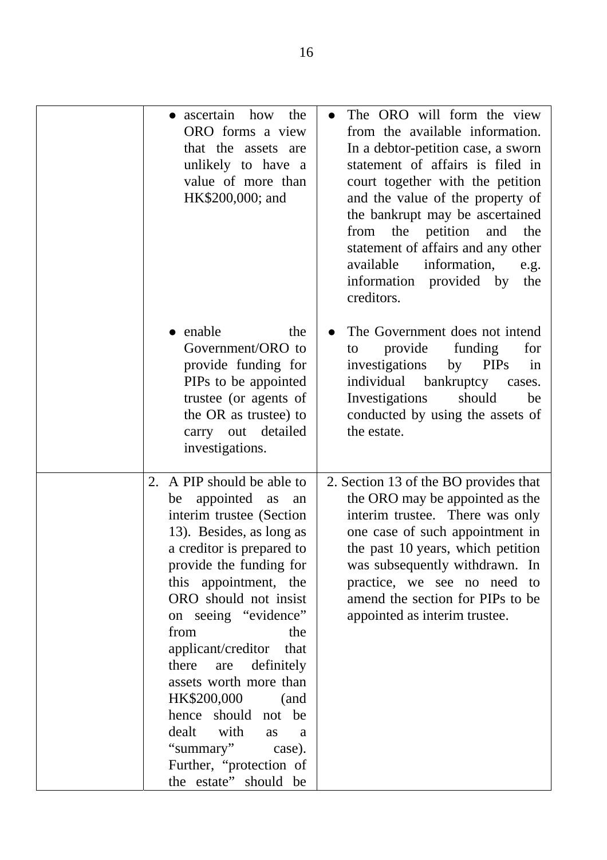| ascertain how<br>the<br>$\bullet$<br>ORO forms a view<br>that the assets are<br>unlikely to have a<br>value of more than<br>HK\$200,000; and                                                                                                                                                                                                                                                                                                                                                         | The ORO will form the view<br>$\bullet$<br>from the available information.<br>In a debtor-petition case, a sworn<br>statement of affairs is filed in<br>court together with the petition<br>and the value of the property of<br>the bankrupt may be ascertained<br>the<br>petition<br>from<br>and<br>the<br>statement of affairs and any other<br>available<br>information,<br>e.g.<br>information provided by<br>the<br>creditors. |
|------------------------------------------------------------------------------------------------------------------------------------------------------------------------------------------------------------------------------------------------------------------------------------------------------------------------------------------------------------------------------------------------------------------------------------------------------------------------------------------------------|-------------------------------------------------------------------------------------------------------------------------------------------------------------------------------------------------------------------------------------------------------------------------------------------------------------------------------------------------------------------------------------------------------------------------------------|
| enable<br>the<br>Government/ORO to<br>provide funding for<br>PIPs to be appointed<br>trustee (or agents of<br>the OR as trustee) to<br>carry out detailed<br>investigations.                                                                                                                                                                                                                                                                                                                         | The Government does not intend<br>funding<br>provide<br>for<br>to<br>investigations<br><b>PIPs</b><br>by<br>in<br>individual<br>bankruptcy<br>cases.<br>Investigations<br>should<br>be<br>conducted by using the assets of<br>the estate.                                                                                                                                                                                           |
| 2. A PIP should be able to<br>appointed<br>as<br>be<br>an<br>interim trustee (Section<br>13). Besides, as long as<br>a creditor is prepared to<br>provide the funding for<br>this appointment, the<br>ORO should not insist<br>on seeing "evidence"<br>from<br>the<br>applicant/creditor that<br>there<br>are<br>definitely<br>assets worth more than<br>HK\$200,000<br>(and<br>hence should not be<br>dealt with<br>as<br>a<br>"summary" case).<br>Further, "protection of<br>the estate" should be | 2. Section 13 of the BO provides that<br>the ORO may be appointed as the<br>interim trustee. There was only<br>one case of such appointment in<br>the past 10 years, which petition<br>was subsequently withdrawn. In<br>practice, we see no need to<br>amend the section for PIPs to be<br>appointed as interim trustee.                                                                                                           |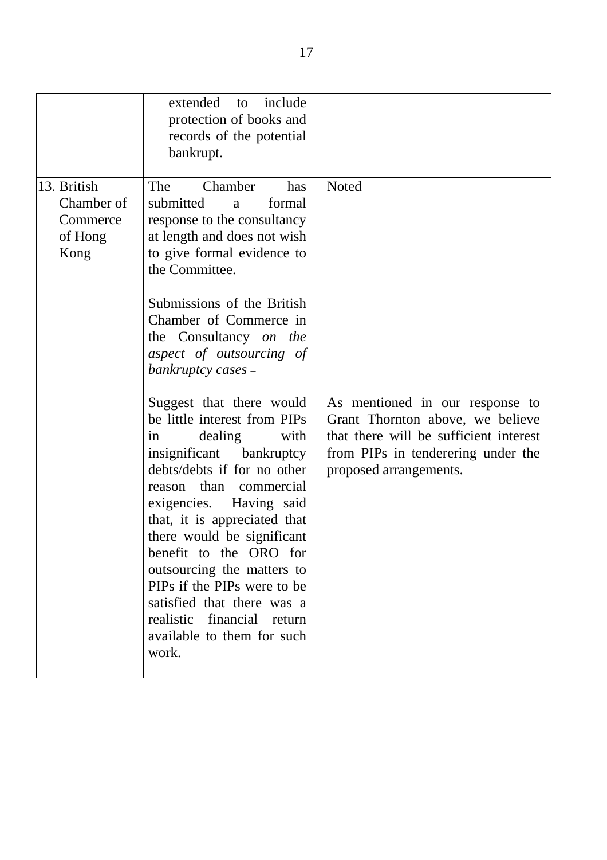|                                                          | extended<br>include<br>to<br>protection of books and<br>records of the potential<br>bankrupt.                                                                                                                                                                                                                                                                                                                                                             |                                                                                                                                                                               |
|----------------------------------------------------------|-----------------------------------------------------------------------------------------------------------------------------------------------------------------------------------------------------------------------------------------------------------------------------------------------------------------------------------------------------------------------------------------------------------------------------------------------------------|-------------------------------------------------------------------------------------------------------------------------------------------------------------------------------|
| 13. British<br>Chamber of<br>Commerce<br>of Hong<br>Kong | The<br>Chamber<br>has<br>submitted<br>formal<br>a<br>response to the consultancy<br>at length and does not wish<br>to give formal evidence to<br>the Committee.<br>Submissions of the British<br>Chamber of Commerce in<br>the Consultancy on the<br>aspect of outsourcing of<br>bankruptcy cases -                                                                                                                                                       | Noted                                                                                                                                                                         |
|                                                          | Suggest that there would<br>be little interest from PIPs<br>dealing<br>with<br>1n<br>insignificant bankruptcy<br>debts/debts if for no other<br>reason than commercial<br>exigencies. Having said<br>that, it is appreciated that<br>there would be significant<br>benefit to the ORO for<br>outsourcing the matters to<br>PIPs if the PIPs were to be<br>satisfied that there was a<br>realistic financial return<br>available to them for such<br>work. | As mentioned in our response to<br>Grant Thornton above, we believe<br>that there will be sufficient interest<br>from PIPs in tenderering under the<br>proposed arrangements. |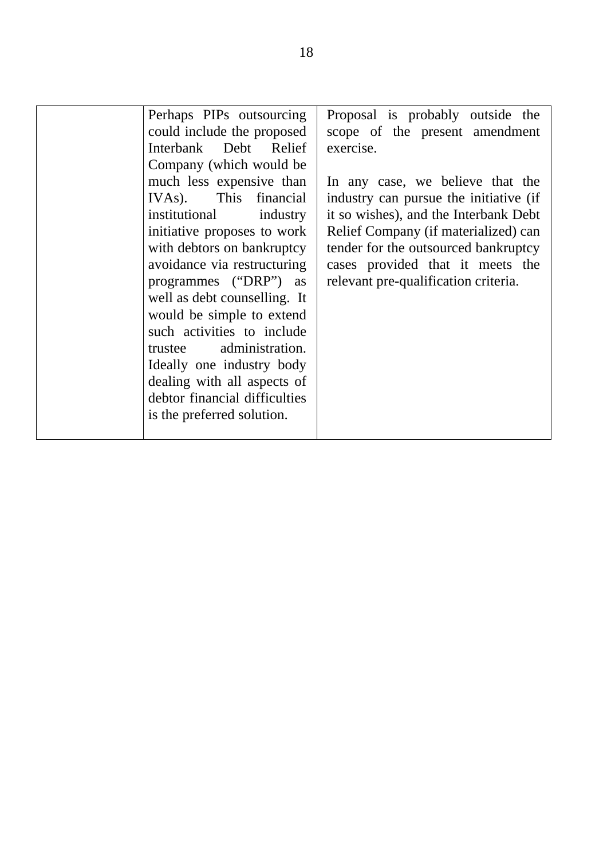| Perhaps PIPs outsourcing<br>could include the proposed<br>Interbank Debt Relief<br>Company (which would be<br>much less expensive than<br>IVAs). This financial<br>institutional<br>industry<br>initiative proposes to work<br>with debtors on bankruptcy<br>avoidance via restructuring<br>programmes ("DRP") as<br>well as debt counselling. It<br>would be simple to extend<br>such activities to include<br>trustee administration.<br>Ideally one industry body<br>dealing with all aspects of<br>debtor financial difficulties<br>is the preferred solution. | Proposal is probably outside the<br>scope of the present amendment<br>exercise.<br>In any case, we believe that the<br>industry can pursue the initiative (if<br>it so wishes), and the Interbank Debt<br>Relief Company (if materialized) can<br>tender for the outsourced bankruptcy<br>cases provided that it meets the<br>relevant pre-qualification criteria. |
|--------------------------------------------------------------------------------------------------------------------------------------------------------------------------------------------------------------------------------------------------------------------------------------------------------------------------------------------------------------------------------------------------------------------------------------------------------------------------------------------------------------------------------------------------------------------|--------------------------------------------------------------------------------------------------------------------------------------------------------------------------------------------------------------------------------------------------------------------------------------------------------------------------------------------------------------------|
|--------------------------------------------------------------------------------------------------------------------------------------------------------------------------------------------------------------------------------------------------------------------------------------------------------------------------------------------------------------------------------------------------------------------------------------------------------------------------------------------------------------------------------------------------------------------|--------------------------------------------------------------------------------------------------------------------------------------------------------------------------------------------------------------------------------------------------------------------------------------------------------------------------------------------------------------------|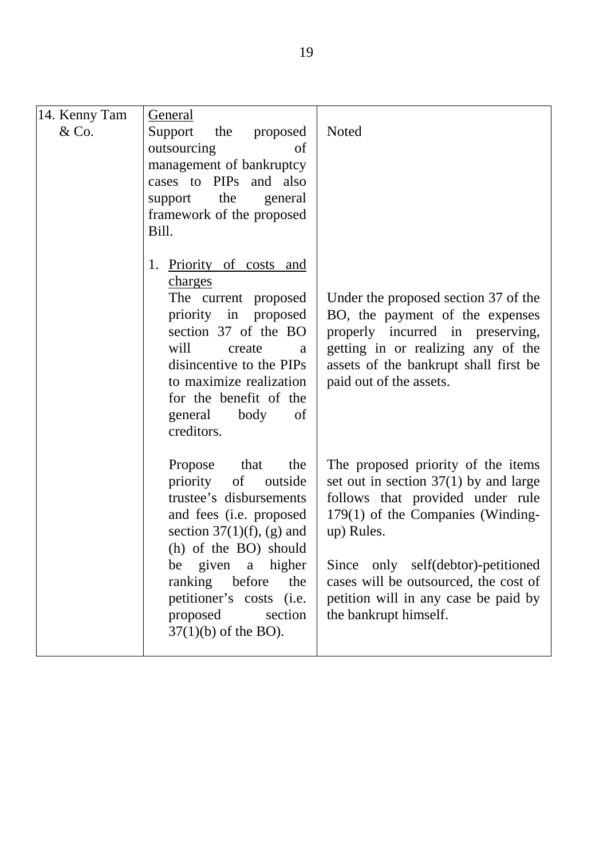| 14. Kenny Tam | <b>General</b>                               |                                                                             |
|---------------|----------------------------------------------|-----------------------------------------------------------------------------|
| &Co.          | Support the proposed                         | Noted                                                                       |
|               | outsourcing<br>of                            |                                                                             |
|               | management of bankruptcy                     |                                                                             |
|               | cases to PIPs and also                       |                                                                             |
|               | support the<br>general                       |                                                                             |
|               | framework of the proposed                    |                                                                             |
|               | Bill.                                        |                                                                             |
|               | 1. Priority of costs and<br>charges          |                                                                             |
|               | The current proposed<br>priority in proposed | Under the proposed section 37 of the<br>BO, the payment of the expenses     |
|               | section 37 of the BO                         | properly incurred in preserving,                                            |
|               | will<br>create<br>a                          | getting in or realizing any of the                                          |
|               | disincentive to the PIPs                     | assets of the bankrupt shall first be                                       |
|               | to maximize realization                      | paid out of the assets.                                                     |
|               | for the benefit of the                       |                                                                             |
|               | general body<br>of                           |                                                                             |
|               | creditors.                                   |                                                                             |
|               | that<br>Propose<br>the                       | The proposed priority of the items                                          |
|               | priority of<br>outside                       | set out in section $37(1)$ by and large                                     |
|               | trustee's disbursements                      | follows that provided under rule                                            |
|               | and fees ( <i>i.e.</i> proposed              | 179(1) of the Companies (Winding-                                           |
|               | section $37(1)(f)$ , (g) and                 | up) Rules.                                                                  |
|               | (h) of the BO) should                        |                                                                             |
|               | be given a higher<br>ranking before<br>the   | Since only self(debtor)-petitioned<br>cases will be outsourced, the cost of |
|               | petitioner's costs (i.e.                     | petition will in any case be paid by                                        |
|               | proposed<br>section                          | the bankrupt himself.                                                       |
|               | $37(1)(b)$ of the BO).                       |                                                                             |
|               |                                              |                                                                             |